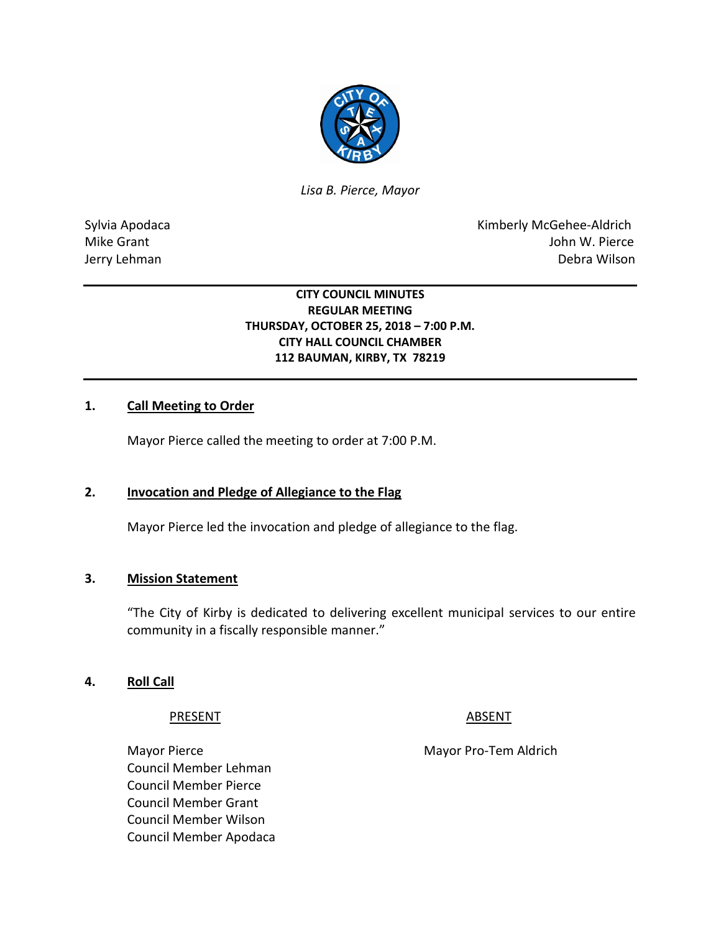

*Lisa B. Pierce, Mayor* 

Sylvia Apodaca **Kimberly McGehee-Aldrich** Mike Grant John W. Pierce Jerry Lehman Debra Wilson

### **CITY COUNCIL MINUTES REGULAR MEETING THURSDAY, OCTOBER 25, 2018 – 7:00 P.M. CITY HALL COUNCIL CHAMBER 112 BAUMAN, KIRBY, TX 78219**

### **1. Call Meeting to Order**

Mayor Pierce called the meeting to order at 7:00 P.M.

### **2. Invocation and Pledge of Allegiance to the Flag**

Mayor Pierce led the invocation and pledge of allegiance to the flag.

#### **3. Mission Statement**

"The City of Kirby is dedicated to delivering excellent municipal services to our entire community in a fiscally responsible manner."

#### **4. Roll Call**

PRESENT ABSENT

Council Member Lehman Council Member Pierce Council Member Grant Council Member Wilson Council Member Apodaca

Mayor Pierce **Mayor Pro-Tem Aldrich**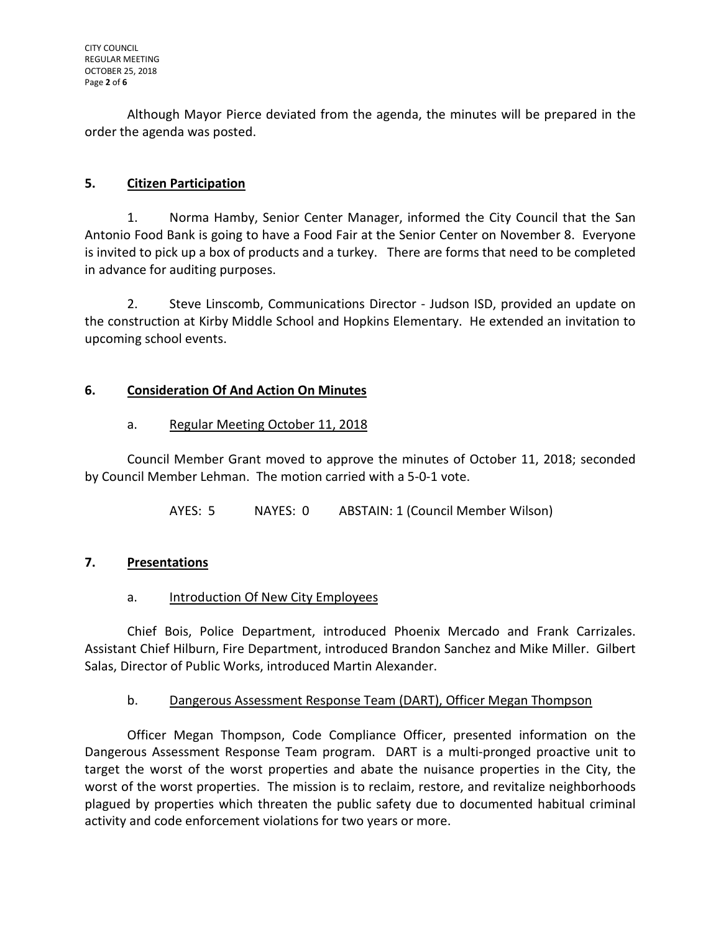Although Mayor Pierce deviated from the agenda, the minutes will be prepared in the order the agenda was posted.

# **5. Citizen Participation**

1. Norma Hamby, Senior Center Manager, informed the City Council that the San Antonio Food Bank is going to have a Food Fair at the Senior Center on November 8. Everyone is invited to pick up a box of products and a turkey. There are forms that need to be completed in advance for auditing purposes.

2. Steve Linscomb, Communications Director - Judson ISD, provided an update on the construction at Kirby Middle School and Hopkins Elementary. He extended an invitation to upcoming school events.

### **6. Consideration Of And Action On Minutes**

## a. Regular Meeting October 11, 2018

Council Member Grant moved to approve the minutes of October 11, 2018; seconded by Council Member Lehman. The motion carried with a 5-0-1 vote.

AYES: 5 NAYES: 0 ABSTAIN: 1 (Council Member Wilson)

## **7. Presentations**

## a. Introduction Of New City Employees

Chief Bois, Police Department, introduced Phoenix Mercado and Frank Carrizales. Assistant Chief Hilburn, Fire Department, introduced Brandon Sanchez and Mike Miller. Gilbert Salas, Director of Public Works, introduced Martin Alexander.

### b. Dangerous Assessment Response Team (DART), Officer Megan Thompson

Officer Megan Thompson, Code Compliance Officer, presented information on the Dangerous Assessment Response Team program. DART is a multi-pronged proactive unit to target the worst of the worst properties and abate the nuisance properties in the City, the worst of the worst properties. The mission is to reclaim, restore, and revitalize neighborhoods plagued by properties which threaten the public safety due to documented habitual criminal activity and code enforcement violations for two years or more.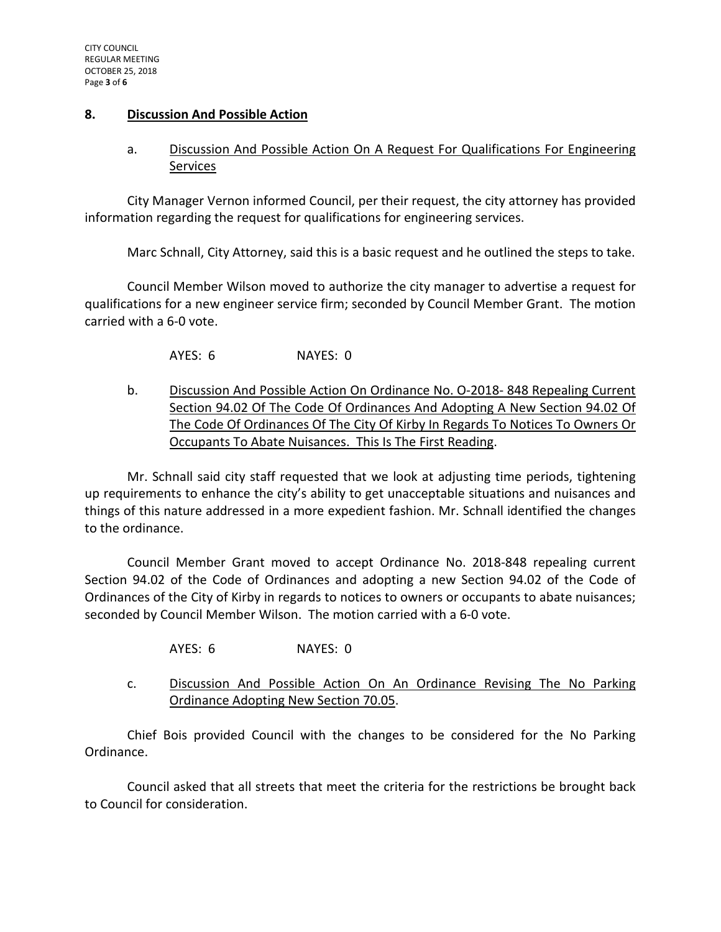### **8. Discussion And Possible Action**

# a. Discussion And Possible Action On A Request For Qualifications For Engineering Services

City Manager Vernon informed Council, per their request, the city attorney has provided information regarding the request for qualifications for engineering services.

Marc Schnall, City Attorney, said this is a basic request and he outlined the steps to take.

Council Member Wilson moved to authorize the city manager to advertise a request for qualifications for a new engineer service firm; seconded by Council Member Grant. The motion carried with a 6-0 vote.

AYES: 6 NAYES: 0

b. Discussion And Possible Action On Ordinance No. O-2018- 848 Repealing Current Section 94.02 Of The Code Of Ordinances And Adopting A New Section 94.02 Of The Code Of Ordinances Of The City Of Kirby In Regards To Notices To Owners Or Occupants To Abate Nuisances. This Is The First Reading.

Mr. Schnall said city staff requested that we look at adjusting time periods, tightening up requirements to enhance the city's ability to get unacceptable situations and nuisances and things of this nature addressed in a more expedient fashion. Mr. Schnall identified the changes to the ordinance.

Council Member Grant moved to accept Ordinance No. 2018-848 repealing current Section 94.02 of the Code of Ordinances and adopting a new Section 94.02 of the Code of Ordinances of the City of Kirby in regards to notices to owners or occupants to abate nuisances; seconded by Council Member Wilson. The motion carried with a 6-0 vote.

AYES: 6 NAYES: 0

c. Discussion And Possible Action On An Ordinance Revising The No Parking Ordinance Adopting New Section 70.05.

Chief Bois provided Council with the changes to be considered for the No Parking Ordinance.

Council asked that all streets that meet the criteria for the restrictions be brought back to Council for consideration.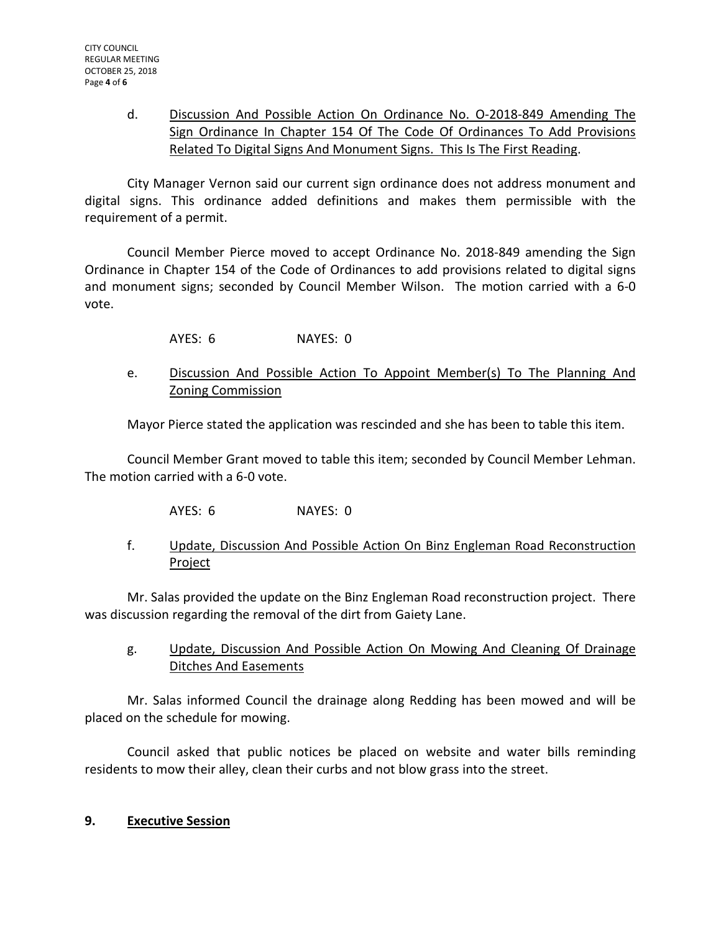# d. Discussion And Possible Action On Ordinance No. O-2018-849 Amending The Sign Ordinance In Chapter 154 Of The Code Of Ordinances To Add Provisions Related To Digital Signs And Monument Signs. This Is The First Reading.

City Manager Vernon said our current sign ordinance does not address monument and digital signs. This ordinance added definitions and makes them permissible with the requirement of a permit.

Council Member Pierce moved to accept Ordinance No. 2018-849 amending the Sign Ordinance in Chapter 154 of the Code of Ordinances to add provisions related to digital signs and monument signs; seconded by Council Member Wilson. The motion carried with a 6-0 vote.

AYES: 6 NAYES: 0

## e. Discussion And Possible Action To Appoint Member(s) To The Planning And Zoning Commission

Mayor Pierce stated the application was rescinded and she has been to table this item.

Council Member Grant moved to table this item; seconded by Council Member Lehman. The motion carried with a 6-0 vote.

- AYES: 6 NAYES: 0
- f. Update, Discussion And Possible Action On Binz Engleman Road Reconstruction **Project**

Mr. Salas provided the update on the Binz Engleman Road reconstruction project. There was discussion regarding the removal of the dirt from Gaiety Lane.

g. Update, Discussion And Possible Action On Mowing And Cleaning Of Drainage Ditches And Easements

Mr. Salas informed Council the drainage along Redding has been mowed and will be placed on the schedule for mowing.

Council asked that public notices be placed on website and water bills reminding residents to mow their alley, clean their curbs and not blow grass into the street.

### **9. Executive Session**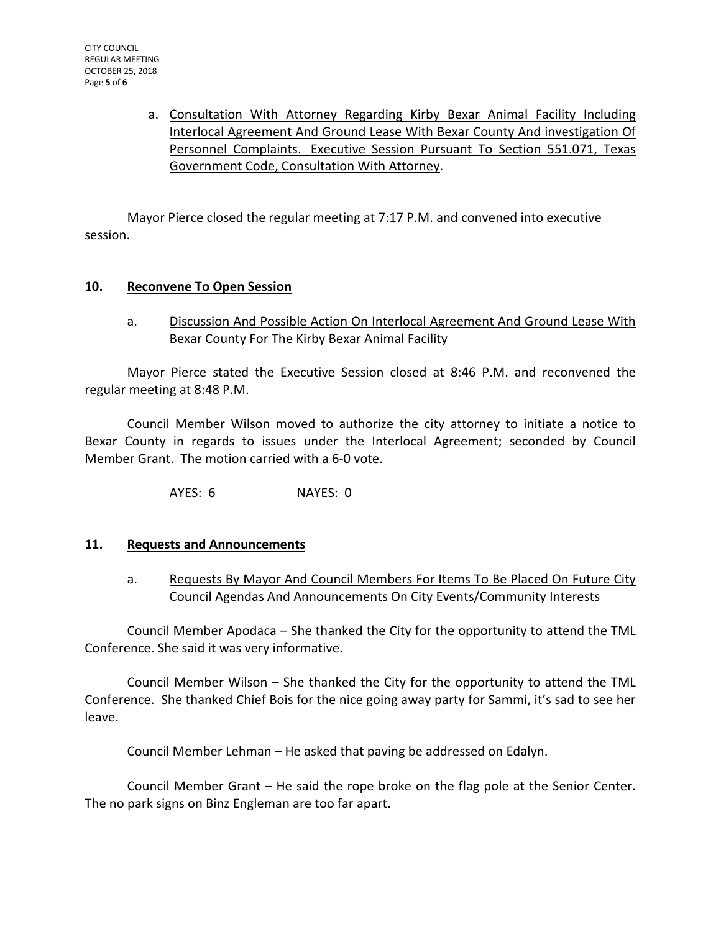a. Consultation With Attorney Regarding Kirby Bexar Animal Facility Including Interlocal Agreement And Ground Lease With Bexar County And investigation Of Personnel Complaints. Executive Session Pursuant To Section 551.071, Texas Government Code, Consultation With Attorney.

Mayor Pierce closed the regular meeting at 7:17 P.M. and convened into executive session.

### **10. Reconvene To Open Session**

a. Discussion And Possible Action On Interlocal Agreement And Ground Lease With Bexar County For The Kirby Bexar Animal Facility

Mayor Pierce stated the Executive Session closed at 8:46 P.M. and reconvened the regular meeting at 8:48 P.M.

Council Member Wilson moved to authorize the city attorney to initiate a notice to Bexar County in regards to issues under the Interlocal Agreement; seconded by Council Member Grant. The motion carried with a 6-0 vote.

AYES: 6 NAYES: 0

### **11. Requests and Announcements**

a. Requests By Mayor And Council Members For Items To Be Placed On Future City Council Agendas And Announcements On City Events/Community Interests

Council Member Apodaca – She thanked the City for the opportunity to attend the TML Conference. She said it was very informative.

Council Member Wilson – She thanked the City for the opportunity to attend the TML Conference. She thanked Chief Bois for the nice going away party for Sammi, it's sad to see her leave.

Council Member Lehman – He asked that paving be addressed on Edalyn.

Council Member Grant – He said the rope broke on the flag pole at the Senior Center. The no park signs on Binz Engleman are too far apart.